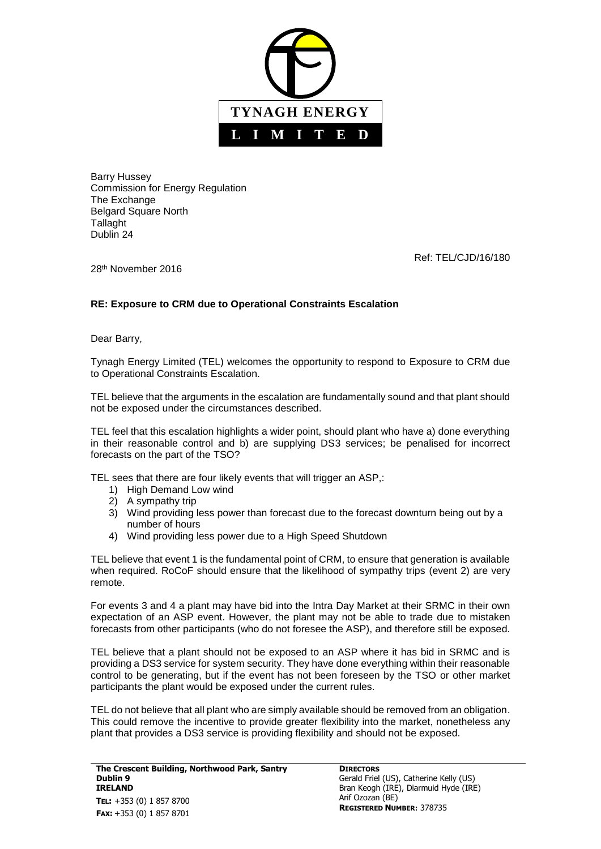

Barry Hussey Commission for Energy Regulation The Exchange Belgard Square North Tallaght Dublin 24

Ref: TEL/CJD/16/180

28<sup>th</sup> November 2016

## **RE: Exposure to CRM due to Operational Constraints Escalation**

Dear Barry,

Tynagh Energy Limited (TEL) welcomes the opportunity to respond to Exposure to CRM due to Operational Constraints Escalation.

TEL believe that the arguments in the escalation are fundamentally sound and that plant should not be exposed under the circumstances described.

TEL feel that this escalation highlights a wider point, should plant who have a) done everything in their reasonable control and b) are supplying DS3 services; be penalised for incorrect forecasts on the part of the TSO?

TEL sees that there are four likely events that will trigger an ASP,:

- 1) High Demand Low wind
- 2) A sympathy trip
- 3) Wind providing less power than forecast due to the forecast downturn being out by a number of hours
- 4) Wind providing less power due to a High Speed Shutdown

TEL believe that event 1 is the fundamental point of CRM, to ensure that generation is available when required. RoCoF should ensure that the likelihood of sympathy trips (event 2) are very remote.

For events 3 and 4 a plant may have bid into the Intra Day Market at their SRMC in their own expectation of an ASP event. However, the plant may not be able to trade due to mistaken forecasts from other participants (who do not foresee the ASP), and therefore still be exposed.

TEL believe that a plant should not be exposed to an ASP where it has bid in SRMC and is providing a DS3 service for system security. They have done everything within their reasonable control to be generating, but if the event has not been foreseen by the TSO or other market participants the plant would be exposed under the current rules.

TEL do not believe that all plant who are simply available should be removed from an obligation. This could remove the incentive to provide greater flexibility into the market, nonetheless any plant that provides a DS3 service is providing flexibility and should not be exposed.